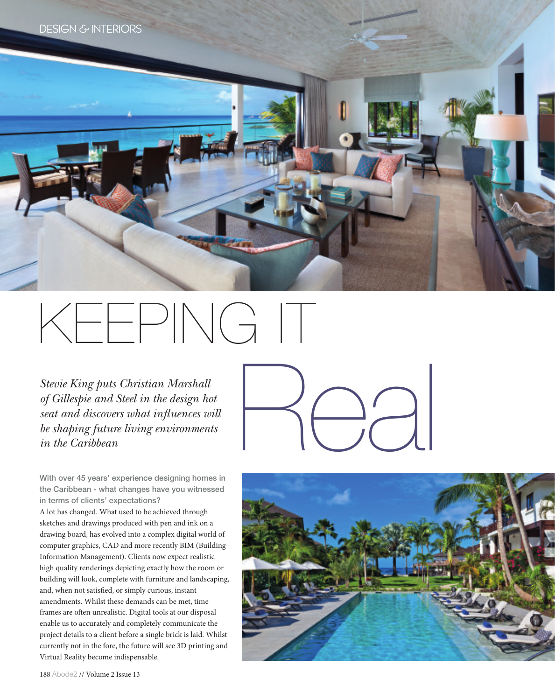

## KEEPING IT

*Stevie King puts Christian Marshall of Gillespie and Steel in the design hot seat and discovers what infuences will be shaping future living environments in the Caribbean*

With over 45 years' experience designing homes in the Caribbean - what changes have you witnessed in terms of clients' expectations?

A lot has changed. What used to be achieved through sketches and drawings produced with pen and ink on a drawing board, has evolved into a complex digital world of computer graphics, CAD and more recently BIM (Building Information Management). Clients now expect realistic high quality renderings depicting exactly how the room or building will look, complete with furniture and landscaping, and, when not satisfed, or simply curious, instant amendments. Whilst these demands can be met, time frames are ofen unrealistic. Digital tools at our disposal enable us to accurately and completely communicate the project details to a client before a single brick is laid. Whilst currently not in the fore, the future will see 3D printing and Virtual Reality become indispensable.